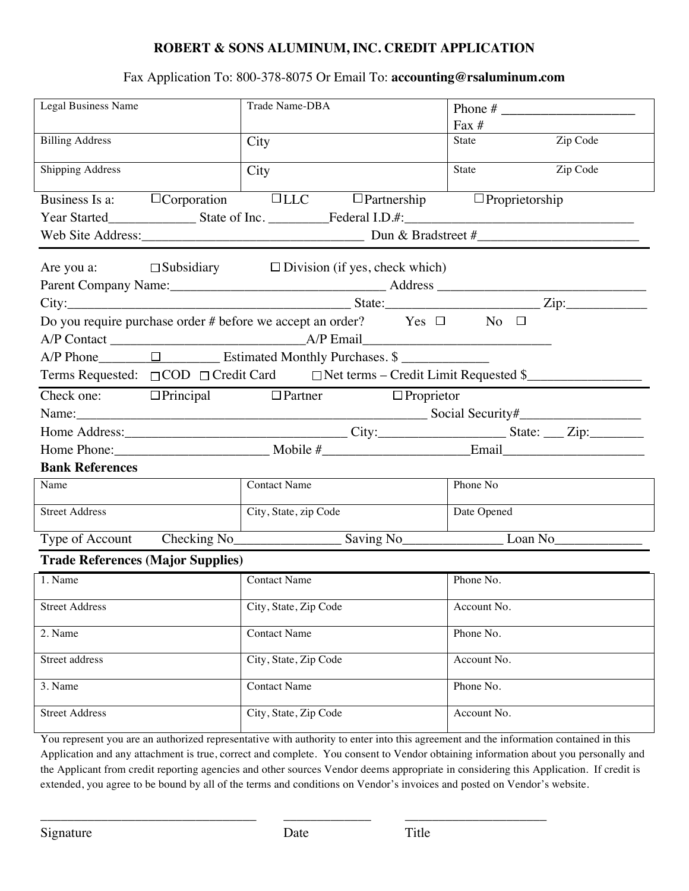### **ROBERT & SONS ALUMINUM, INC. CREDIT APPLICATION**

Fax Application To: 800-378-8075 Or Email To: **accounting@rsaluminum.com**

| Legal Business Name                                                             | Trade Name-DBA                                                                                                                                                                                                                                               |                   |  |
|---------------------------------------------------------------------------------|--------------------------------------------------------------------------------------------------------------------------------------------------------------------------------------------------------------------------------------------------------------|-------------------|--|
|                                                                                 |                                                                                                                                                                                                                                                              | Fax #             |  |
| <b>Billing Address</b>                                                          | City                                                                                                                                                                                                                                                         | Zip Code<br>State |  |
| <b>Shipping Address</b>                                                         | City                                                                                                                                                                                                                                                         | State<br>Zip Code |  |
|                                                                                 | Business Is a: Corporation CLLC C Partnership C Proprietorship                                                                                                                                                                                               |                   |  |
|                                                                                 |                                                                                                                                                                                                                                                              |                   |  |
|                                                                                 |                                                                                                                                                                                                                                                              |                   |  |
| Are you a: $\square$ Subsidiary $\square$ Division (if yes, check which)        |                                                                                                                                                                                                                                                              |                   |  |
|                                                                                 |                                                                                                                                                                                                                                                              |                   |  |
| Do you require purchase order # before we accept an order? Yes $\Box$ No $\Box$ |                                                                                                                                                                                                                                                              |                   |  |
|                                                                                 |                                                                                                                                                                                                                                                              |                   |  |
| A/P Phone_________ □_______________ Estimated Monthly Purchases. \$             |                                                                                                                                                                                                                                                              |                   |  |
| Terms Requested: □ COD □ Credit Card □ Net terms – Credit Limit Requested \$    |                                                                                                                                                                                                                                                              |                   |  |
| Check one: $\Box$ Principal $\Box$ Partner $\Box$ Proprietor                    |                                                                                                                                                                                                                                                              |                   |  |
| Name: Social Security#                                                          |                                                                                                                                                                                                                                                              |                   |  |
|                                                                                 |                                                                                                                                                                                                                                                              |                   |  |
|                                                                                 |                                                                                                                                                                                                                                                              |                   |  |
| <b>Bank References</b>                                                          |                                                                                                                                                                                                                                                              |                   |  |
| Name                                                                            | <b>Contact Name</b>                                                                                                                                                                                                                                          | Phone No          |  |
| <b>Street Address</b>                                                           | City, State, zip Code                                                                                                                                                                                                                                        | Date Opened       |  |
|                                                                                 | Type of Account Checking No<br>Checking No<br>Checking No<br>Checking No<br>Checking No<br>Checking No<br>Checking No<br>Checking No<br>Checking No<br>Checking No<br>Checking No<br>Checking No<br>Checking No<br>Checking No<br>Checking No<br>Checking No |                   |  |
| <b>Trade References (Major Supplies)</b>                                        |                                                                                                                                                                                                                                                              |                   |  |
| 1. Name                                                                         | <b>Contact Name</b>                                                                                                                                                                                                                                          | Phone No.         |  |
| <b>Street Address</b>                                                           | City, State, Zip Code                                                                                                                                                                                                                                        | Account No.       |  |
| 2. Name                                                                         | <b>Contact Name</b>                                                                                                                                                                                                                                          | Phone No.         |  |
| Street address                                                                  | City, State, Zip Code                                                                                                                                                                                                                                        | Account No.       |  |
| 3. Name                                                                         | <b>Contact Name</b>                                                                                                                                                                                                                                          | Phone No.         |  |
| <b>Street Address</b>                                                           | City, State, Zip Code                                                                                                                                                                                                                                        | Account No.       |  |

You represent you are an authorized representative with authority to enter into this agreement and the information contained in this Application and any attachment is true, correct and complete. You consent to Vendor obtaining information about you personally and the Applicant from credit reporting agencies and other sources Vendor deems appropriate in considering this Application. If credit is extended, you agree to be bound by all of the terms and conditions on Vendor's invoices and posted on Vendor's website.

Signature Date Date Title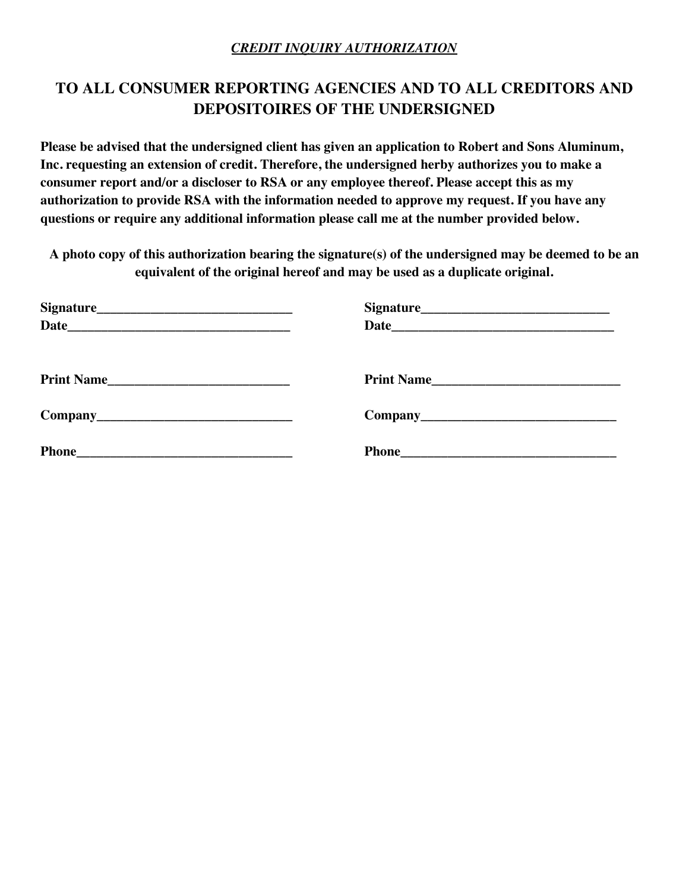## *CREDIT INQUIRY AUTHORIZATION*

# **TO ALL CONSUMER REPORTING AGENCIES AND TO ALL CREDITORS AND DEPOSITOIRES OF THE UNDERSIGNED**

**Please be advised that the undersigned client has given an application to Robert and Sons Aluminum, Inc. requesting an extension of credit. Therefore, the undersigned herby authorizes you to make a consumer report and/or a discloser to RSA or any employee thereof. Please accept this as my authorization to provide RSA with the information needed to approve my request. If you have any questions or require any additional information please call me at the number provided below.**

**A photo copy of this authorization bearing the signature(s) of the undersigned may be deemed to be an equivalent of the original hereof and may be used as a duplicate original.**